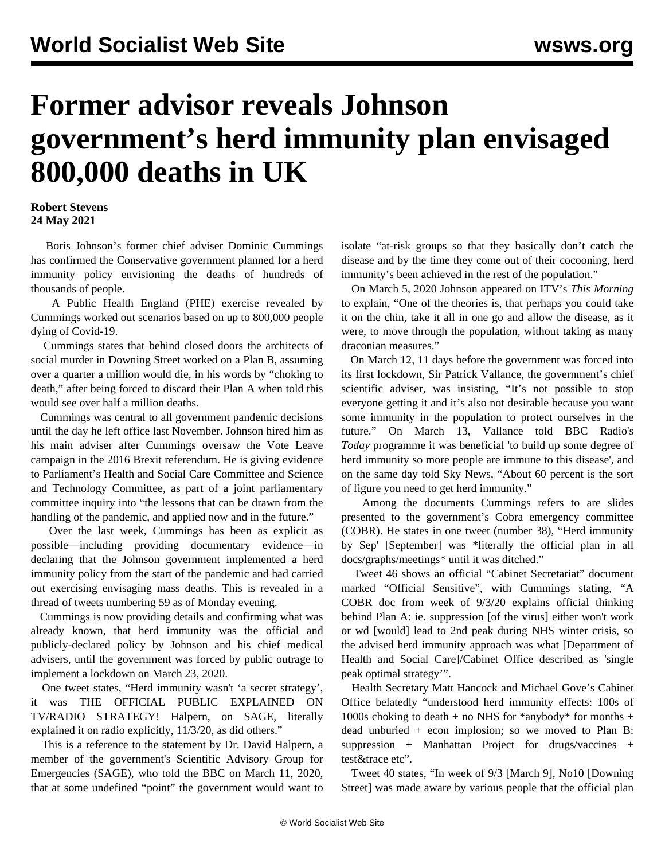## **Former advisor reveals Johnson government's herd immunity plan envisaged 800,000 deaths in UK**

## **Robert Stevens 24 May 2021**

 Boris Johnson's former chief adviser Dominic Cummings has confirmed the Conservative government planned for a herd immunity policy envisioning the deaths of hundreds of thousands of people.

 A Public Health England (PHE) exercise revealed by Cummings worked out scenarios based on up to 800,000 people dying of Covid-19.

 Cummings states that behind closed doors the architects of social murder in Downing Street worked on a Plan B, assuming over a quarter a million would die, in his words by "choking to death," after being forced to discard their Plan A when told this would see over half a million deaths.

 Cummings was central to all government pandemic decisions until the day he left office last November. Johnson hired him as his main adviser after Cummings oversaw the Vote Leave campaign in the 2016 Brexit referendum. He is giving evidence to Parliament's Health and Social Care Committee and Science and Technology Committee, as part of a joint parliamentary committee inquiry into "the lessons that can be drawn from the handling of the pandemic, and applied now and in the future."

 Over the last week, Cummings has been as explicit as possible—including providing documentary evidence—in declaring that the Johnson government implemented a herd immunity policy from the start of the pandemic and had carried out exercising envisaging mass deaths. This is revealed in a thread of tweets numbering 59 as of Monday evening.

 Cummings is now providing details and confirming what was already known, that herd immunity was the official and publicly-declared policy by Johnson and his chief medical advisers, until the government was forced by public outrage to implement a lockdown on March 23, 2020.

 One tweet states, "Herd immunity wasn't 'a secret strategy', it was THE OFFICIAL PUBLIC EXPLAINED ON TV/RADIO STRATEGY! Halpern, on SAGE, literally explained it on radio explicitly, 11/3/20, as did others."

 This is a reference to the statement by Dr. David Halpern, a member of the government's Scientific Advisory Group for Emergencies (SAGE), who told the BBC on March 11, 2020, that at some undefined "point" the government would want to isolate "at-risk groups so that they basically don't catch the disease and by the time they come out of their cocooning, herd immunity's been achieved in the rest of the population."

 On March 5, 2020 Johnson appeared on ITV's *This Morning* to explain, "One of the theories is, that perhaps you could take it on the chin, take it all in one go and allow the disease, as it were, to move through the population, without taking as many draconian measures."

 On March 12, 11 days before the government was forced into its first lockdown, Sir Patrick Vallance, the government's chief scientific adviser, was insisting, "It's not possible to stop everyone getting it and it's also not desirable because you want some immunity in the population to protect ourselves in the future." On March 13, Vallance told BBC Radio's *Today* programme it was beneficial 'to build up some degree of herd immunity so more people are immune to this disease', and on the same day told Sky News, "About 60 percent is the sort of figure you need to get herd immunity."

 Among the documents Cummings refers to are slides presented to the government's Cobra emergency committee (COBR). He states in one tweet (number 38), "Herd immunity by Sep' [September] was \*literally the official plan in all docs/graphs/meetings\* until it was ditched."

 Tweet 46 shows an official "Cabinet Secretariat" document marked "Official Sensitive", with Cummings stating, "A COBR doc from week of 9/3/20 explains official thinking behind Plan A: ie. suppression [of the virus] either won't work or wd [would] lead to 2nd peak during NHS winter crisis, so the advised herd immunity approach was what [Department of Health and Social Care]/Cabinet Office described as 'single peak optimal strategy'".

 Health Secretary Matt Hancock and Michael Gove's Cabinet Office belatedly "understood herd immunity effects: 100s of 1000s choking to death + no NHS for  $*$ anybody $*$  for months + dead unburied + econ implosion; so we moved to Plan B: suppression + Manhattan Project for drugs/vaccines + test&trace etc".

 Tweet 40 states, "In week of 9/3 [March 9], No10 [Downing Street] was made aware by various people that the official plan